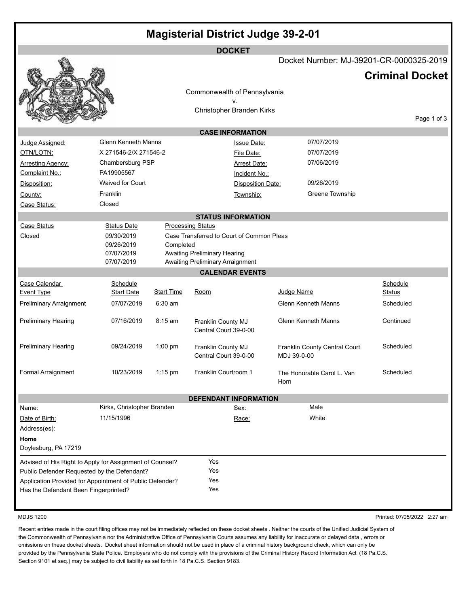|                                                          |                               |                   | <b>DOCKET</b>                                              |             |                                         |                           |             |
|----------------------------------------------------------|-------------------------------|-------------------|------------------------------------------------------------|-------------|-----------------------------------------|---------------------------|-------------|
|                                                          |                               |                   |                                                            |             | Docket Number: MJ-39201-CR-0000325-2019 |                           |             |
|                                                          |                               |                   |                                                            |             |                                         | <b>Criminal Docket</b>    |             |
|                                                          |                               |                   | Commonwealth of Pennsylvania                               |             |                                         |                           |             |
|                                                          |                               |                   | ۷.                                                         |             |                                         |                           |             |
|                                                          |                               |                   | Christopher Branden Kirks                                  |             |                                         |                           |             |
|                                                          |                               |                   |                                                            |             |                                         |                           | Page 1 of 3 |
|                                                          |                               |                   | <b>CASE INFORMATION</b>                                    |             |                                         |                           |             |
| Judge Assigned:                                          | <b>Glenn Kenneth Manns</b>    |                   | <b>Issue Date:</b>                                         |             | 07/07/2019                              |                           |             |
| OTN/LOTN:                                                | X 271546-2/X 271546-2         |                   | File Date:                                                 |             | 07/07/2019                              |                           |             |
| <b>Arresting Agency:</b>                                 | Chambersburg PSP              |                   | Arrest Date:                                               |             | 07/06/2019                              |                           |             |
| Complaint No.:                                           | PA19905567                    |                   | Incident No.:                                              |             |                                         |                           |             |
| Disposition:                                             | <b>Waived for Court</b>       |                   | <b>Disposition Date:</b>                                   |             | 09/26/2019                              |                           |             |
| County:                                                  | Franklin                      |                   | Township:                                                  |             | Greene Township                         |                           |             |
| Case Status:                                             | Closed                        |                   |                                                            |             |                                         |                           |             |
|                                                          |                               |                   | <b>STATUS INFORMATION</b>                                  |             |                                         |                           |             |
| Case Status                                              | <b>Status Date</b>            |                   | <b>Processing Status</b>                                   |             |                                         |                           |             |
| Closed                                                   | 09/30/2019                    |                   | Case Transferred to Court of Common Pleas                  |             |                                         |                           |             |
|                                                          | 09/26/2019                    | Completed         |                                                            |             |                                         |                           |             |
|                                                          | 07/07/2019<br>07/07/2019      |                   | <b>Awaiting Preliminary Hearing</b>                        |             |                                         |                           |             |
|                                                          |                               |                   | Awaiting Preliminary Arraignment<br><b>CALENDAR EVENTS</b> |             |                                         |                           |             |
|                                                          |                               |                   |                                                            |             |                                         |                           |             |
| Case Calendar<br>Event Type                              | Schedule<br><b>Start Date</b> | <b>Start Time</b> | Room                                                       | Judge Name  |                                         | Schedule<br><b>Status</b> |             |
| Preliminary Arraignment                                  | 07/07/2019                    | $6:30 \text{ am}$ |                                                            |             | <b>Glenn Kenneth Manns</b>              | Scheduled                 |             |
|                                                          |                               |                   |                                                            |             |                                         |                           |             |
| Preliminary Hearing                                      | 07/16/2019                    | $8:15$ am         | Franklin County MJ                                         |             | <b>Glenn Kenneth Manns</b>              | Continued                 |             |
|                                                          |                               |                   | Central Court 39-0-00                                      |             |                                         |                           |             |
| Preliminary Hearing                                      | 09/24/2019                    | $1:00$ pm         |                                                            |             |                                         | Scheduled                 |             |
|                                                          |                               |                   | Franklin County MJ<br>Central Court 39-0-00                | MDJ 39-0-00 | Franklin County Central Court           |                           |             |
|                                                          |                               |                   |                                                            |             |                                         |                           |             |
| Formal Arraignment                                       | 10/23/2019                    | 1:15 pm           | Franklin Courtroom 1                                       |             | The Honorable Carol L. Van              | Scheduled                 |             |
|                                                          |                               |                   |                                                            | Horn        |                                         |                           |             |
|                                                          |                               |                   | <b>DEFENDANT INFORMATION</b>                               |             |                                         |                           |             |
| Name:                                                    | Kirks, Christopher Branden    |                   | Sex:                                                       |             | Male                                    |                           |             |
| Date of Birth:                                           | 11/15/1996                    |                   | Race:                                                      |             | White                                   |                           |             |
| Address(es):                                             |                               |                   |                                                            |             |                                         |                           |             |
| Home                                                     |                               |                   |                                                            |             |                                         |                           |             |
| Doylesburg, PA 17219                                     |                               |                   |                                                            |             |                                         |                           |             |
| Advised of His Right to Apply for Assignment of Counsel? |                               |                   | Yes                                                        |             |                                         |                           |             |
| Public Defender Requested by the Defendant?              |                               |                   | Yes                                                        |             |                                         |                           |             |
| Application Provided for Appointment of Public Defender? |                               |                   | Yes                                                        |             |                                         |                           |             |
| Has the Defendant Been Fingerprinted?                    |                               |                   | Yes                                                        |             |                                         |                           |             |
|                                                          |                               |                   |                                                            |             |                                         |                           |             |
|                                                          |                               |                   |                                                            |             |                                         |                           |             |

MDJS 1200 Printed: 07/05/2022 2:27 am

Recent entries made in the court filing offices may not be immediately reflected on these docket sheets . Neither the courts of the Unified Judicial System of the Commonwealth of Pennsylvania nor the Administrative Office of Pennsylvania Courts assumes any liability for inaccurate or delayed data , errors or omissions on these docket sheets. Docket sheet information should not be used in place of a criminal history background check, which can only be provided by the Pennsylvania State Police. Employers who do not comply with the provisions of the Criminal History Record Information Act (18 Pa.C.S. Section 9101 et seq.) may be subject to civil liability as set forth in 18 Pa.C.S. Section 9183.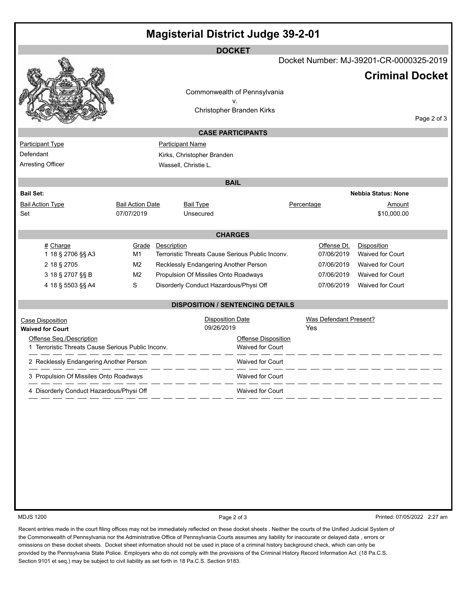|                                                    |                         |                                        |                                       | <b>Magisterial District Judge 39-2-01</b>        |                                         |                            |             |
|----------------------------------------------------|-------------------------|----------------------------------------|---------------------------------------|--------------------------------------------------|-----------------------------------------|----------------------------|-------------|
|                                                    |                         |                                        | <b>DOCKET</b>                         |                                                  |                                         |                            |             |
|                                                    |                         |                                        |                                       |                                                  | Docket Number: MJ-39201-CR-0000325-2019 | <b>Criminal Docket</b>     |             |
|                                                    |                         |                                        |                                       | Commonwealth of Pennsylvania                     |                                         |                            |             |
|                                                    |                         |                                        | v.                                    |                                                  |                                         |                            |             |
|                                                    |                         | Christopher Branden Kirks              |                                       |                                                  |                                         |                            | Page 2 of 3 |
|                                                    |                         |                                        | <b>CASE PARTICIPANTS</b>              |                                                  |                                         |                            |             |
| <b>Participant Type</b>                            |                         | <b>Participant Name</b>                |                                       |                                                  |                                         |                            |             |
| Defendant                                          |                         | Kirks, Christopher Branden             |                                       |                                                  |                                         |                            |             |
| Arresting Officer                                  |                         | Wassell, Christie L.                   |                                       |                                                  |                                         |                            |             |
|                                                    |                         |                                        | <b>BAIL</b>                           |                                                  |                                         |                            |             |
| <b>Bail Set:</b>                                   |                         |                                        |                                       |                                                  |                                         | <b>Nebbia Status: None</b> |             |
| <b>Bail Action Type</b>                            | <b>Bail Action Date</b> | <b>Bail Type</b>                       |                                       |                                                  | Percentage                              | <u>Amount</u>              |             |
| Set                                                | 07/07/2019              |                                        | Unsecured                             |                                                  |                                         | \$10,000.00                |             |
|                                                    |                         |                                        | <b>CHARGES</b>                        |                                                  |                                         |                            |             |
| # Charge                                           | Grade                   | Description                            |                                       |                                                  | Offense Dt.                             | Disposition                |             |
| 1 18 § 2706 §§ A3                                  | M1                      |                                        |                                       | Terroristic Threats Cause Serious Public Inconv. | 07/06/2019                              | <b>Waived for Court</b>    |             |
| 2 18 § 2705                                        | M2                      | Recklessly Endangering Another Person  |                                       |                                                  | 07/06/2019                              | <b>Waived for Court</b>    |             |
| 3 18 § 2707 §§ B                                   | M2                      | Propulsion Of Missiles Onto Roadways   |                                       |                                                  | 07/06/2019                              | Waived for Court           |             |
| 4 18 § 5503 §§ A4                                  | $\mathbb S$             | Disorderly Conduct Hazardous/Physi Off |                                       |                                                  | 07/06/2019                              | Waived for Court           |             |
|                                                    |                         |                                        |                                       | <b>DISPOSITION / SENTENCING DETAILS</b>          |                                         |                            |             |
| <b>Case Disposition</b><br><b>Waived for Court</b> |                         |                                        | <b>Disposition Date</b><br>09/26/2019 |                                                  | <b>Was Defendant Present?</b><br>Yes    |                            |             |
| Offense Seq./Description                           |                         |                                        |                                       | <b>Offense Disposition</b>                       |                                         |                            |             |
| 1 Terroristic Threats Cause Serious Public Inconv. |                         |                                        |                                       | <b>Waived for Court</b>                          |                                         |                            |             |
| 2 Recklessly Endangering Another Person            |                         |                                        |                                       | <b>Waived for Court</b>                          |                                         |                            |             |
| 3 Propulsion Of Missiles Onto Roadways             |                         |                                        |                                       | Waived for Court                                 |                                         |                            |             |
| 4 Disorderly Conduct Hazardous/Physi Off           |                         |                                        |                                       | Waived for Court                                 |                                         |                            |             |
|                                                    |                         |                                        |                                       |                                                  |                                         |                            |             |

MDJS 1200 **Page 2 of 3** Printed: 07/05/2022 2:27 am

Recent entries made in the court filing offices may not be immediately reflected on these docket sheets . Neither the courts of the Unified Judicial System of the Commonwealth of Pennsylvania nor the Administrative Office of Pennsylvania Courts assumes any liability for inaccurate or delayed data , errors or omissions on these docket sheets. Docket sheet information should not be used in place of a criminal history background check, which can only be provided by the Pennsylvania State Police. Employers who do not comply with the provisions of the Criminal History Record Information Act (18 Pa.C.S. Section 9101 et seq.) may be subject to civil liability as set forth in 18 Pa.C.S. Section 9183.